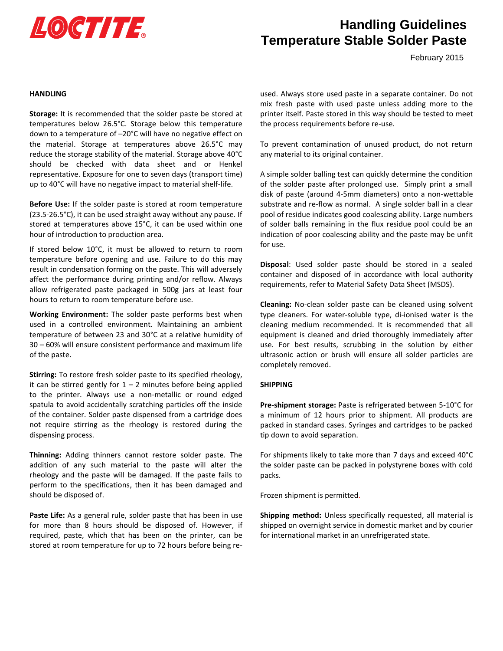

# **Handling Guidelines Temperature Stable Solder Paste**

February 2015

#### **HANDLING**

**Storage:** It is recommended that the solder paste be stored at temperatures below 26.5°C. Storage below this temperature down to a temperature of –20°C will have no negative effect on the material. Storage at temperatures above 26.5°C may reduce the storage stability of the material. Storage above 40°C should be checked with data sheet and or Henkel representative. Exposure for one to seven days (transport time) up to 40°C will have no negative impact to material shelf-life.

**Before Use:** If the solder paste is stored at room temperature (23.5-26.5°C), it can be used straight away without any pause. If stored at temperatures above 15°C, it can be used within one hour of introduction to production area.

If stored below 10°C, it must be allowed to return to room temperature before opening and use. Failure to do this may result in condensation forming on the paste. This will adversely affect the performance during printing and/or reflow. Always allow refrigerated paste packaged in 500g jars at least four hours to return to room temperature before use.

**Working Environment:** The solder paste performs best when used in a controlled environment. Maintaining an ambient temperature of between 23 and 30°C at a relative humidity of 30 – 60% will ensure consistent performance and maximum life of the paste.

**Stirring:** To restore fresh solder paste to its specified rheology, it can be stirred gently for  $1 - 2$  minutes before being applied to the printer. Always use a non-metallic or round edged spatula to avoid accidentally scratching particles off the inside of the container. Solder paste dispensed from a cartridge does not require stirring as the rheology is restored during the dispensing process.

**Thinning:** Adding thinners cannot restore solder paste. The addition of any such material to the paste will alter the rheology and the paste will be damaged. If the paste fails to perform to the specifications, then it has been damaged and should be disposed of.

**Paste Life:** As a general rule, solder paste that has been in use for more than 8 hours should be disposed of. However, if required, paste, which that has been on the printer, can be stored at room temperature for up to 72 hours before being reused. Always store used paste in a separate container. Do not mix fresh paste with used paste unless adding more to the printer itself. Paste stored in this way should be tested to meet the process requirements before re-use.

To prevent contamination of unused product, do not return any material to its original container.

A simple solder balling test can quickly determine the condition of the solder paste after prolonged use. Simply print a small disk of paste (around 4-5mm diameters) onto a non-wettable substrate and re-flow as normal. A single solder ball in a clear pool of residue indicates good coalescing ability. Large numbers of solder balls remaining in the flux residue pool could be an indication of poor coalescing ability and the paste may be unfit for use.

**Disposal**: Used solder paste should be stored in a sealed container and disposed of in accordance with local authority requirements, refer to Material Safety Data Sheet (MSDS).

**Cleaning:** No-clean solder paste can be cleaned using solvent type cleaners. For water-soluble type, di-ionised water is the cleaning medium recommended. It is recommended that all equipment is cleaned and dried thoroughly immediately after use. For best results, scrubbing in the solution by either ultrasonic action or brush will ensure all solder particles are completely removed.

#### **SHIPPING**

**Pre-shipment storage:** Paste is refrigerated between 5-10°C for a minimum of 12 hours prior to shipment. All products are packed in standard cases. Syringes and cartridges to be packed tip down to avoid separation.

For shipments likely to take more than 7 days and exceed 40°C the solder paste can be packed in polystyrene boxes with cold packs.

Frozen shipment is permitted.

**Shipping method:** Unless specifically requested, all material is shipped on overnight service in domestic market and by courier for international market in an unrefrigerated state.